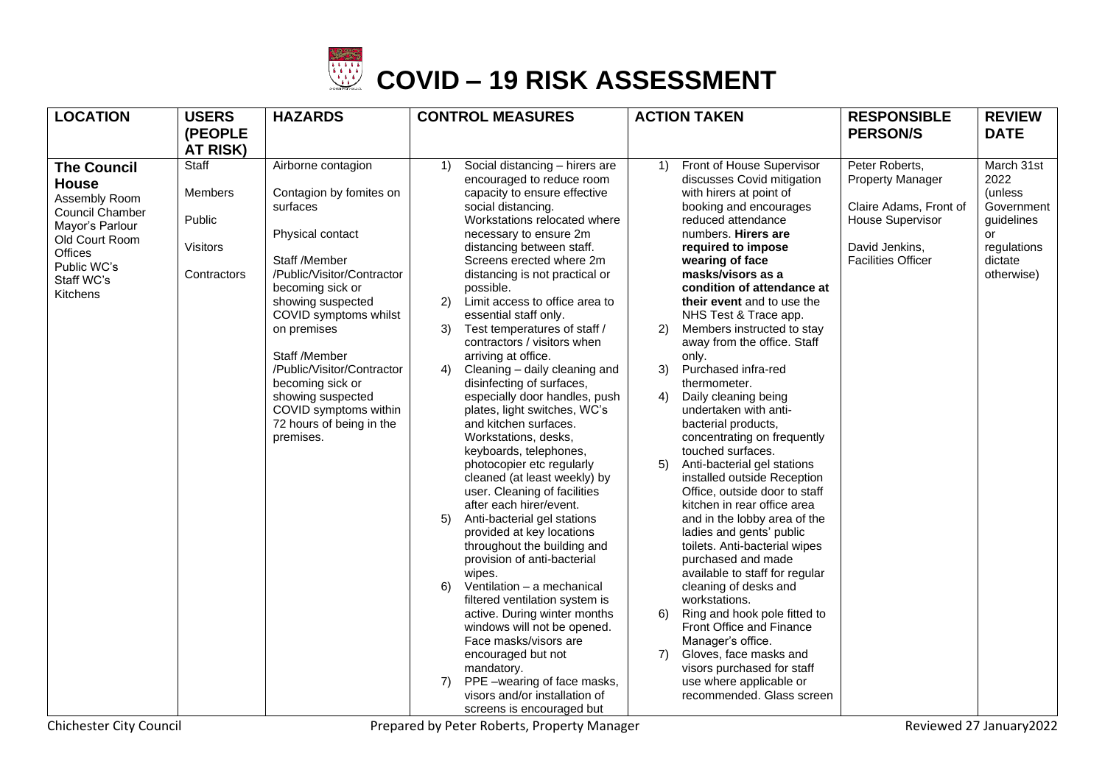

| <b>LOCATION</b>                  | <b>USERS</b>    | <b>HAZARDS</b>                              | <b>CONTROL MEASURES</b>                                           | <b>ACTION TAKEN</b>                                           | <b>RESPONSIBLE</b>                        | <b>REVIEW</b>      |
|----------------------------------|-----------------|---------------------------------------------|-------------------------------------------------------------------|---------------------------------------------------------------|-------------------------------------------|--------------------|
|                                  | (PEOPLE         |                                             |                                                                   |                                                               | <b>PERSON/S</b>                           | <b>DATE</b>        |
|                                  | <b>AT RISK)</b> |                                             |                                                                   |                                                               |                                           |                    |
| <b>The Council</b>               | Staff           | Airborne contagion                          | Social distancing - hirers are<br>1)<br>encouraged to reduce room | Front of House Supervisor<br>1)<br>discusses Covid mitigation | Peter Roberts,<br><b>Property Manager</b> | March 31st<br>2022 |
| <b>House</b>                     | <b>Members</b>  | Contagion by fomites on                     | capacity to ensure effective                                      | with hirers at point of                                       |                                           | (unless            |
| Assembly Room<br>Council Chamber |                 | surfaces                                    | social distancing.                                                | booking and encourages                                        | Claire Adams, Front of                    | Government         |
| Mayor's Parlour                  | Public          |                                             | Workstations relocated where                                      | reduced attendance                                            | <b>House Supervisor</b>                   | guidelines         |
| Old Court Room                   | <b>Visitors</b> | Physical contact                            | necessary to ensure 2m<br>distancing between staff.               | numbers. Hirers are<br>required to impose                     | David Jenkins,                            | or<br>regulations  |
| Offices<br>Public WC's           |                 | Staff /Member                               | Screens erected where 2m                                          | wearing of face                                               | <b>Facilities Officer</b>                 | dictate            |
| Staff WC's                       | Contractors     | /Public/Visitor/Contractor                  | distancing is not practical or                                    | masks/visors as a                                             |                                           | otherwise)         |
| Kitchens                         |                 | becoming sick or                            | possible.                                                         | condition of attendance at                                    |                                           |                    |
|                                  |                 | showing suspected<br>COVID symptoms whilst  | 2)<br>Limit access to office area to<br>essential staff only.     | their event and to use the<br>NHS Test & Trace app.           |                                           |                    |
|                                  |                 | on premises                                 | Test temperatures of staff /<br>3)                                | Members instructed to stay<br>2)                              |                                           |                    |
|                                  |                 |                                             | contractors / visitors when                                       | away from the office. Staff                                   |                                           |                    |
|                                  |                 | Staff /Member<br>/Public/Visitor/Contractor | arriving at office.                                               | only.                                                         |                                           |                    |
|                                  |                 | becoming sick or                            | 4)<br>Cleaning - daily cleaning and<br>disinfecting of surfaces,  | 3)<br>Purchased infra-red<br>thermometer.                     |                                           |                    |
|                                  |                 | showing suspected                           | especially door handles, push                                     | 4)<br>Daily cleaning being                                    |                                           |                    |
|                                  |                 | COVID symptoms within                       | plates, light switches, WC's                                      | undertaken with anti-                                         |                                           |                    |
|                                  |                 | 72 hours of being in the                    | and kitchen surfaces.                                             | bacterial products,                                           |                                           |                    |
|                                  |                 | premises.                                   | Workstations, desks,<br>keyboards, telephones,                    | concentrating on frequently<br>touched surfaces.              |                                           |                    |
|                                  |                 |                                             | photocopier etc regularly                                         | 5)<br>Anti-bacterial gel stations                             |                                           |                    |
|                                  |                 |                                             | cleaned (at least weekly) by                                      | installed outside Reception                                   |                                           |                    |
|                                  |                 |                                             | user. Cleaning of facilities<br>after each hirer/event.           | Office, outside door to staff<br>kitchen in rear office area  |                                           |                    |
|                                  |                 |                                             | Anti-bacterial gel stations<br>5)                                 | and in the lobby area of the                                  |                                           |                    |
|                                  |                 |                                             | provided at key locations                                         | ladies and gents' public                                      |                                           |                    |
|                                  |                 |                                             | throughout the building and                                       | toilets. Anti-bacterial wipes                                 |                                           |                    |
|                                  |                 |                                             | provision of anti-bacterial                                       | purchased and made                                            |                                           |                    |
|                                  |                 |                                             | wipes.<br>Ventilation - a mechanical<br>6)                        | available to staff for regular<br>cleaning of desks and       |                                           |                    |
|                                  |                 |                                             | filtered ventilation system is                                    | workstations.                                                 |                                           |                    |
|                                  |                 |                                             | active. During winter months                                      | 6)<br>Ring and hook pole fitted to                            |                                           |                    |
|                                  |                 |                                             | windows will not be opened.                                       | Front Office and Finance                                      |                                           |                    |
|                                  |                 |                                             | Face masks/visors are<br>encouraged but not                       | Manager's office.<br>7)<br>Gloves, face masks and             |                                           |                    |
|                                  |                 |                                             | mandatory.                                                        | visors purchased for staff                                    |                                           |                    |
|                                  |                 |                                             | PPE -wearing of face masks,<br>7)                                 | use where applicable or                                       |                                           |                    |
|                                  |                 |                                             | visors and/or installation of                                     | recommended. Glass screen                                     |                                           |                    |
|                                  |                 |                                             | screens is encouraged but                                         |                                                               |                                           |                    |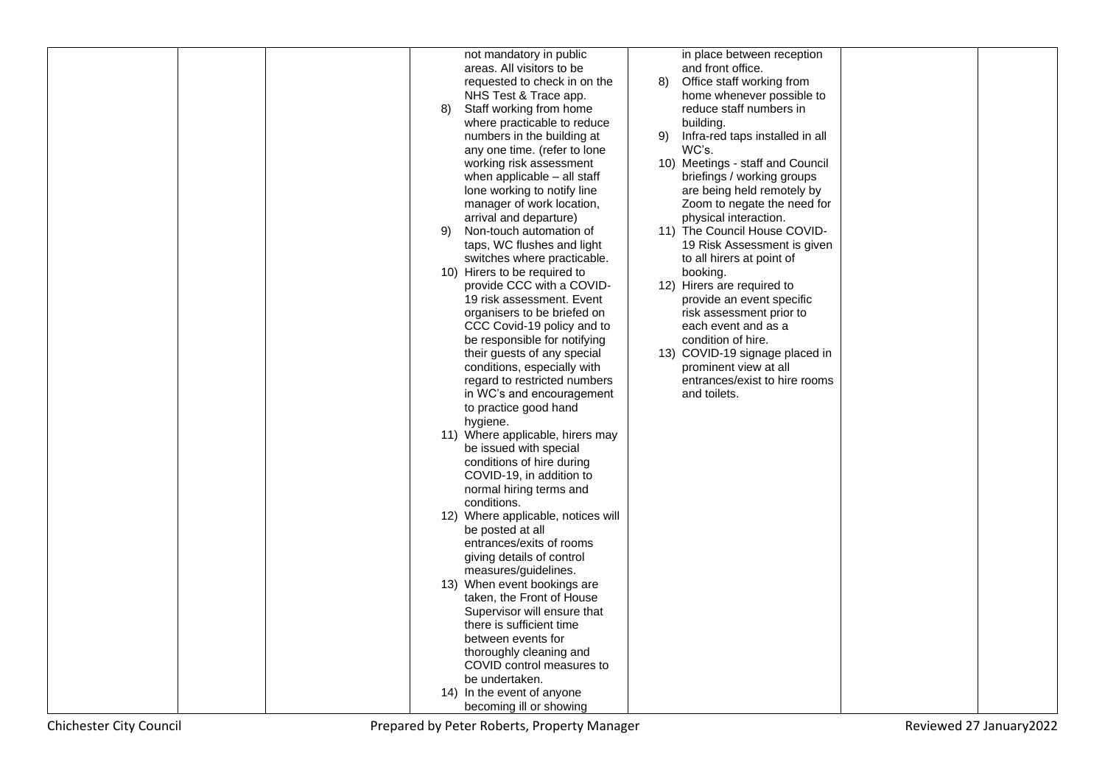|  |    | not mandatory in public            |    | in place between reception       |  |
|--|----|------------------------------------|----|----------------------------------|--|
|  |    | areas. All visitors to be          |    | and front office.                |  |
|  |    | requested to check in on the       | 8) | Office staff working from        |  |
|  |    | NHS Test & Trace app.              |    | home whenever possible to        |  |
|  | 8) | Staff working from home            |    | reduce staff numbers in          |  |
|  |    | where practicable to reduce        |    | building.                        |  |
|  |    | numbers in the building at         | 9) | Infra-red taps installed in all  |  |
|  |    | any one time. (refer to lone       |    | WC's.                            |  |
|  |    | working risk assessment            |    | 10) Meetings - staff and Council |  |
|  |    | when applicable - all staff        |    | briefings / working groups       |  |
|  |    | lone working to notify line        |    | are being held remotely by       |  |
|  |    | manager of work location,          |    | Zoom to negate the need for      |  |
|  |    | arrival and departure)             |    | physical interaction.            |  |
|  | 9) | Non-touch automation of            |    | 11) The Council House COVID-     |  |
|  |    | taps, WC flushes and light         |    | 19 Risk Assessment is given      |  |
|  |    | switches where practicable.        |    | to all hirers at point of        |  |
|  |    | 10) Hirers to be required to       |    | booking.                         |  |
|  |    | provide CCC with a COVID-          |    | 12) Hirers are required to       |  |
|  |    | 19 risk assessment. Event          |    | provide an event specific        |  |
|  |    | organisers to be briefed on        |    | risk assessment prior to         |  |
|  |    | CCC Covid-19 policy and to         |    | each event and as a              |  |
|  |    | be responsible for notifying       |    | condition of hire.               |  |
|  |    | their guests of any special        |    | 13) COVID-19 signage placed in   |  |
|  |    | conditions, especially with        |    | prominent view at all            |  |
|  |    | regard to restricted numbers       |    | entrances/exist to hire rooms    |  |
|  |    | in WC's and encouragement          |    | and toilets.                     |  |
|  |    | to practice good hand              |    |                                  |  |
|  |    | hygiene.                           |    |                                  |  |
|  |    | 11) Where applicable, hirers may   |    |                                  |  |
|  |    | be issued with special             |    |                                  |  |
|  |    | conditions of hire during          |    |                                  |  |
|  |    | COVID-19, in addition to           |    |                                  |  |
|  |    | normal hiring terms and            |    |                                  |  |
|  |    | conditions.                        |    |                                  |  |
|  |    | 12) Where applicable, notices will |    |                                  |  |
|  |    | be posted at all                   |    |                                  |  |
|  |    | entrances/exits of rooms           |    |                                  |  |
|  |    | giving details of control          |    |                                  |  |
|  |    | measures/guidelines.               |    |                                  |  |
|  |    | 13) When event bookings are        |    |                                  |  |
|  |    | taken, the Front of House          |    |                                  |  |
|  |    | Supervisor will ensure that        |    |                                  |  |
|  |    | there is sufficient time           |    |                                  |  |
|  |    | between events for                 |    |                                  |  |
|  |    | thoroughly cleaning and            |    |                                  |  |
|  |    | COVID control measures to          |    |                                  |  |
|  |    | be undertaken.                     |    |                                  |  |
|  |    | 14) In the event of anyone         |    |                                  |  |
|  |    | becoming ill or showing            |    |                                  |  |
|  |    |                                    |    |                                  |  |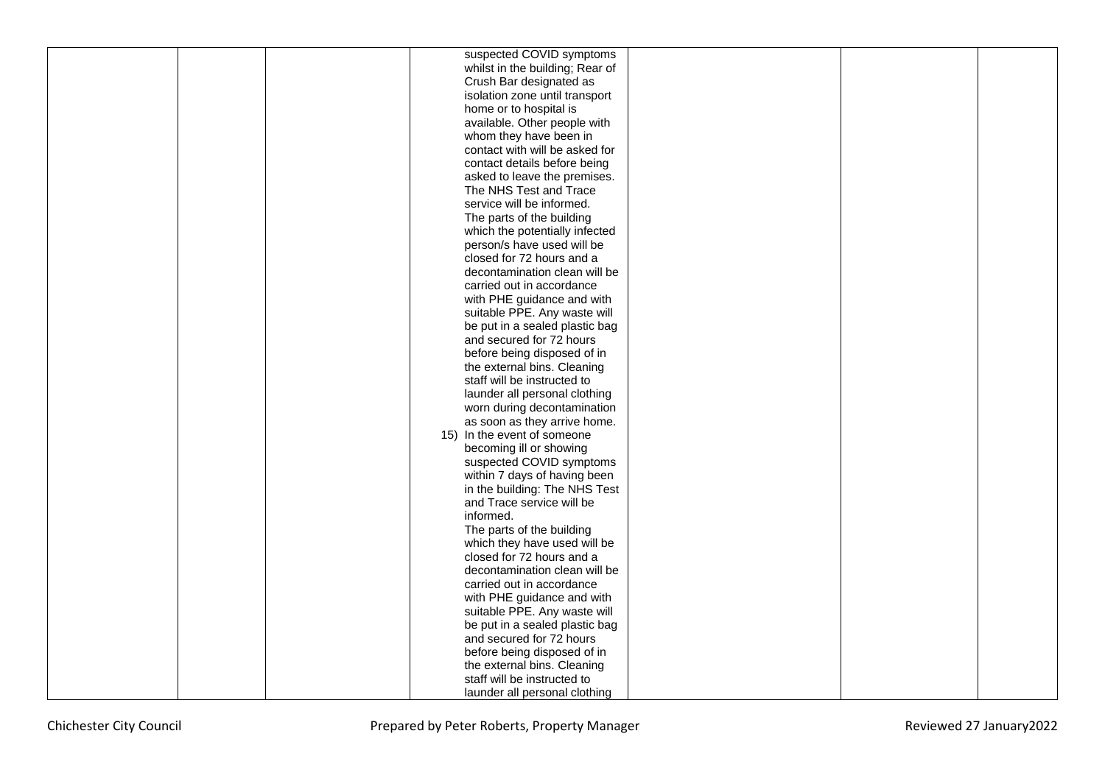|  | suspected COVID symptoms        |  |  |
|--|---------------------------------|--|--|
|  | whilst in the building; Rear of |  |  |
|  | Crush Bar designated as         |  |  |
|  | isolation zone until transport  |  |  |
|  | home or to hospital is          |  |  |
|  | available. Other people with    |  |  |
|  | whom they have been in          |  |  |
|  | contact with will be asked for  |  |  |
|  | contact details before being    |  |  |
|  | asked to leave the premises.    |  |  |
|  | The NHS Test and Trace          |  |  |
|  | service will be informed.       |  |  |
|  | The parts of the building       |  |  |
|  | which the potentially infected  |  |  |
|  | person/s have used will be      |  |  |
|  | closed for 72 hours and a       |  |  |
|  | decontamination clean will be   |  |  |
|  | carried out in accordance       |  |  |
|  | with PHE guidance and with      |  |  |
|  | suitable PPE. Any waste will    |  |  |
|  | be put in a sealed plastic bag  |  |  |
|  | and secured for 72 hours        |  |  |
|  | before being disposed of in     |  |  |
|  | the external bins. Cleaning     |  |  |
|  | staff will be instructed to     |  |  |
|  | launder all personal clothing   |  |  |
|  | worn during decontamination     |  |  |
|  | as soon as they arrive home.    |  |  |
|  | 15) In the event of someone     |  |  |
|  | becoming ill or showing         |  |  |
|  | suspected COVID symptoms        |  |  |
|  | within 7 days of having been    |  |  |
|  | in the building: The NHS Test   |  |  |
|  | and Trace service will be       |  |  |
|  | informed.                       |  |  |
|  | The parts of the building       |  |  |
|  | which they have used will be    |  |  |
|  | closed for 72 hours and a       |  |  |
|  | decontamination clean will be   |  |  |
|  | carried out in accordance       |  |  |
|  | with PHE guidance and with      |  |  |
|  | suitable PPE. Any waste will    |  |  |
|  | be put in a sealed plastic bag  |  |  |
|  | and secured for 72 hours        |  |  |
|  | before being disposed of in     |  |  |
|  | the external bins. Cleaning     |  |  |
|  | staff will be instructed to     |  |  |
|  |                                 |  |  |
|  | launder all personal clothing   |  |  |